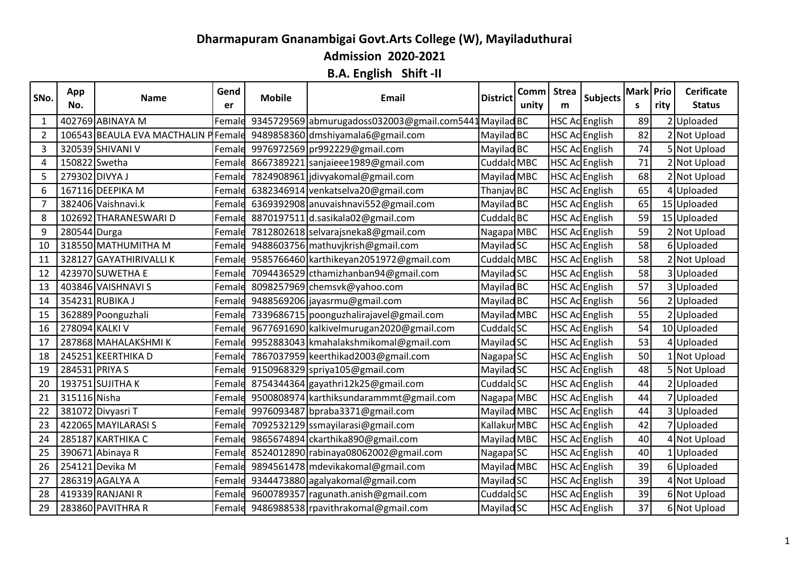## **Dharmapuram Gnanambigai Govt.Arts College (W), Mayiladuthurai**

**Admission 2020-2021**

**B.A. English Shift -II**

| SNo.           | App<br>No.     | <b>Name</b>                          | Gend<br>er | <b>Mobile</b> | Email                                                  | <b>District</b>        | Comm Strea<br>unity | m | <b>Subjects</b>       | Mark Prio<br>S | rity           | <b>Cerificate</b><br><b>Status</b> |
|----------------|----------------|--------------------------------------|------------|---------------|--------------------------------------------------------|------------------------|---------------------|---|-----------------------|----------------|----------------|------------------------------------|
| 1              |                | 402769 ABINAYA M                     | Female     |               | 9345729569 abmurugadoss032003@gmail.com5441 Mayilad BC |                        |                     |   | HSC Ac English        | 89             | $\overline{2}$ | Uploaded                           |
| $\overline{2}$ |                | 106543 BEAULA EVA MACTHALIN P Female |            |               | 9489858360 dmshiyamala6@gmail.com                      | Mayilad BC             |                     |   | HSC Ac English        | 82             |                | <b>Not Upload</b>                  |
| 3              |                | 320539 SHIVANI V                     | Female     |               | 9976972569 pr992229@gmail.com                          | Mayilad BC             |                     |   | HSC Ac English        | 74             |                | 5 Not Upload                       |
| 4              | 150822 Swetha  |                                      | Female     |               | 8667389221 sanjaieee1989@gmail.com                     | Cuddald MBC            |                     |   | HSC Ac English        | 71             |                | 2 Not Upload                       |
| 5              | 279302 DIVYA J |                                      | Female     |               | 7824908961 jdivyakomal@gmail.com                       | Mayilad MBC            |                     |   | HSC Ac English        | 68             |                | 2 Not Upload                       |
| 6              |                | 167116 DEEPIKA M                     | Female     |               | 6382346914 venkatselva20@gmail.com                     | Thanjav BC             |                     |   | HSC Ac English        | 65             | 4              | Uploaded                           |
| 7              |                | 382406 Vaishnavi.k                   | Female     |               | 6369392908 anuvaishnavi552@gmail.com                   | Mayilad BC             |                     |   | HSC Ac English        | 65             |                | 15 Uploaded                        |
| 8              |                | 102692 THARANESWARI D                | Female     |               | 8870197511 d.sasikala02@gmail.com                      | Cuddald <sub>BC</sub>  |                     |   | HSC Ac English        | 59             |                | 15 Uploaded                        |
| 9              | 280544 Durga   |                                      | Female     |               | 7812802618 selvarajsneka8@gmail.com                    | Nagapa MBC             |                     |   | HSC Ac English        | 59             |                | 2 Not Upload                       |
| 10             |                | 318550 MATHUMITHA M                  | Female     |               | 9488603756 mathuvjkrish@gmail.com                      | Mayilad SC             |                     |   | HSC Ac English        | 58             |                | 6 Uploaded                         |
| 11             |                | 328127 GAYATHIRIVALLI K              | Female     |               | 9585766460 karthikeyan2051972@gmail.com                | Cuddald MBC            |                     |   | <b>HSC Ac</b> English | 58             |                | Not Upload                         |
| 12             |                | 423970 SUWETHA E                     | Female     |               | 7094436529 cthamizhanban94@gmail.com                   | Mayilad SC             |                     |   | HSC Ac English        | 58             |                | 3 Uploaded                         |
| 13             |                | 403846 VAISHNAVI S                   | Female     |               | 8098257969 chemsvk@yahoo.com                           | Mayilad BC             |                     |   | HSC Ac English        | 57             | 3              | Uploaded                           |
| 14             |                | 354231 RUBIKA J                      | Female     |               | 9488569206 jayasrmu@gmail.com                          | Mayilad BC             |                     |   | HSC Ac English        | 56             | 2              | Uploaded                           |
| 15             |                | 362889 Poonguzhali                   | Female     |               | 7339686715 poonguzhalirajavel@gmail.com                | Mayilad MBC            |                     |   | <b>HSC Ac</b> English | 55             |                | Uploaded                           |
| 16             | 278094 KALKI V |                                      | Female     |               | 9677691690 kalkivelmurugan2020@gmail.com               | Cuddald SC             |                     |   | HSC Ac English        | 54             |                | 10 Uploaded                        |
| 17             |                | 287868 MAHALAKSHMIK                  | Female     |               | 9952883043 kmahalakshmikomal@gmail.com                 | Mayilad SC             |                     |   | HSC Ac English        | 53             | 4              | Uploaded                           |
| 18             |                | 245251 KEERTHIKA D                   | Female     |               | 7867037959 keerthikad2003@gmail.com                    | Nagapa <sup>1</sup> SC |                     |   | HSC Ac English        | 50             |                | 1 Not Upload                       |
| 19             | 284531 PRIYA S |                                      |            |               | Female 9150968329 spriya105@gmail.com                  | Mayilad SC             |                     |   | HSC Ac English        | 48             |                | 5 Not Upload                       |
| 20             |                | 193751 SUJITHA K                     | Female     |               | 8754344364 gayathri12k25@gmail.com                     | Cuddald SC             |                     |   | HSC Ac English        | 44             |                | Uploaded                           |
| 21             | 315116 Nisha   |                                      | Female     |               | 9500808974 karthiksundarammmt@gmail.com                | Nagapat MBC            |                     |   | HSC Ac English        | 44             |                | Uploaded                           |
| 22             |                | 381072 Divyasri T                    | Female     |               | 9976093487 bpraba3371@gmail.com                        | Mayilad MBC            |                     |   | HSC Ac English        | 44             | 3              | Uploaded                           |
| 23             |                | 422065 MAYILARASI S                  | Female     |               | 7092532129 ssmayilarasi@gmail.com                      | Kallakur MBC           |                     |   | HSC Ac English        | 42             | 7              | Uploaded                           |
| 24             |                | 285187 KARTHIKA C                    | Female     |               | 9865674894 ckarthika890@gmail.com                      | Mayilad MBC            |                     |   | HSC Ac English        | 40             | 4              | <b>Not Upload</b>                  |
| 25             |                | 390671 Abinaya R                     | Female     |               | 8524012890 rabinaya08062002@gmail.com                  | Nagapa <sup>1</sup> SC |                     |   | HSC Ac English        | 40             |                | 1 Uploaded                         |
| 26             |                | 254121 Devika M                      | Female     |               | 9894561478 mdevikakomal@gmail.com                      | Mayilad MBC            |                     |   | <b>HSC Ac English</b> | 39             | 6              | Uploaded                           |
| 27             |                | 286319 AGALYA A                      | Female     |               | 9344473880 agalyakomal@gmail.com                       | Mayilad SC             |                     |   | HSC Ac English        | 39             | 4              | <b>Not Upload</b>                  |
| 28             |                | 419339 RANJANI R                     | Female     |               | 9600789357 ragunath.anish@gmail.com                    | Cuddald SC             |                     |   | HSC Ac English        | 39             |                | 6 Not Upload                       |
| 29             |                | 283860 PAVITHRA R                    |            |               | Female 9486988538 rpavithrakomal@gmail.com             | Mayilad SC             |                     |   | HSC Ac English        | 37             |                | 6 Not Upload                       |